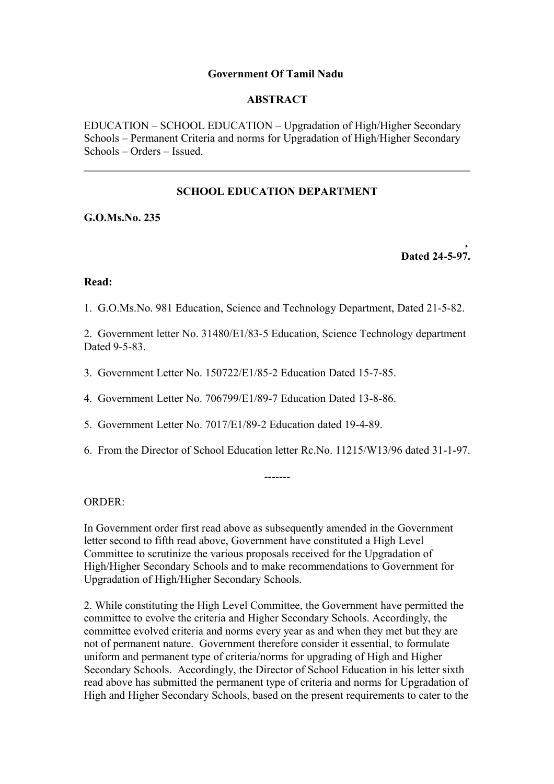#### **Government Of Tamil Nadu**

## **ABSTRACT**

EDUCATION – SCHOOL EDUCATION – Upgradation of High/Higher Secondary Schools – Permanent Criteria and norms for Upgradation of High/Higher Secondary Schools – Orders – Issued.

# **SCHOOL EDUCATION DEPARTMENT**

**G.O.Ms.No. 235**

**, Dated 24-5-97.**

#### **Read:**

1. G.O.Ms.No. 981 Education, Science and Technology Department, Dated 21-5-82.

2. Government letter No. 31480/E1/83-5 Education, Science Technology department Dated 9-5-83.

- 3. Government Letter No. 150722/E1/85-2 Education Dated 15-7-85.
- 4. Government Letter No. 706799/E1/89-7 Education Dated 13-8-86.
- 5. Government Letter No. 7017/E1/89-2 Education dated 19-4-89.
- 6. From the Director of School Education letter Rc.No. 11215/W13/96 dated 31-1-97.

-------

ORDER:

In Government order first read above as subsequently amended in the Government letter second to fifth read above, Government have constituted a High Level Committee to scrutinize the various proposals received for the Upgradation of High/Higher Secondary Schools and to make recommendations to Government for Upgradation of High/Higher Secondary Schools.

2. While constituting the High Level Committee, the Government have permitted the committee to evolve the criteria and Higher Secondary Schools. Accordingly, the committee evolved criteria and norms every year as and when they met but they are not of permanent nature. Government therefore consider it essential, to formulate uniform and permanent type of criteria/norms for upgrading of High and Higher Secondary Schools. Accordingly, the Director of School Education in his letter sixth read above has submitted the permanent type of criteria and norms for Upgradation of High and Higher Secondary Schools, based on the present requirements to cater to the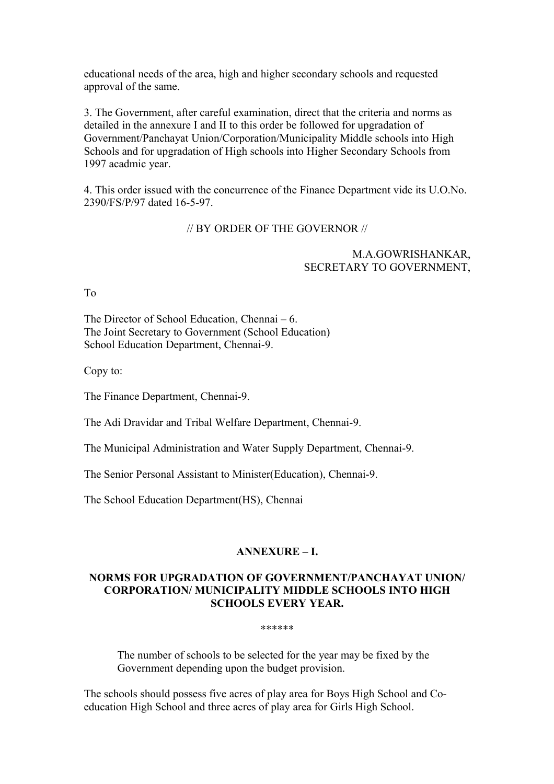educational needs of the area, high and higher secondary schools and requested approval of the same.

3. The Government, after careful examination, direct that the criteria and norms as detailed in the annexure I and II to this order be followed for upgradation of Government/Panchayat Union/Corporation/Municipality Middle schools into High Schools and for upgradation of High schools into Higher Secondary Schools from 1997 acadmic year.

4. This order issued with the concurrence of the Finance Department vide its U.O.No. 2390/FS/P/97 dated 16-5-97.

#### // BY ORDER OF THE GOVERNOR //

#### M.A.GOWRISHANKAR, SECRETARY TO GOVERNMENT,

To

The Director of School Education, Chennai – 6. The Joint Secretary to Government (School Education) School Education Department, Chennai-9.

Copy to:

The Finance Department, Chennai-9.

The Adi Dravidar and Tribal Welfare Department, Chennai-9.

The Municipal Administration and Water Supply Department, Chennai-9.

The Senior Personal Assistant to Minister(Education), Chennai-9.

The School Education Department(HS), Chennai

#### **ANNEXURE – I.**

## **NORMS FOR UPGRADATION OF GOVERNMENT/PANCHAYAT UNION/ CORPORATION/ MUNICIPALITY MIDDLE SCHOOLS INTO HIGH SCHOOLS EVERY YEAR.**

#### \*\*\*\*\*\*

The number of schools to be selected for the year may be fixed by the Government depending upon the budget provision.

The schools should possess five acres of play area for Boys High School and Coeducation High School and three acres of play area for Girls High School.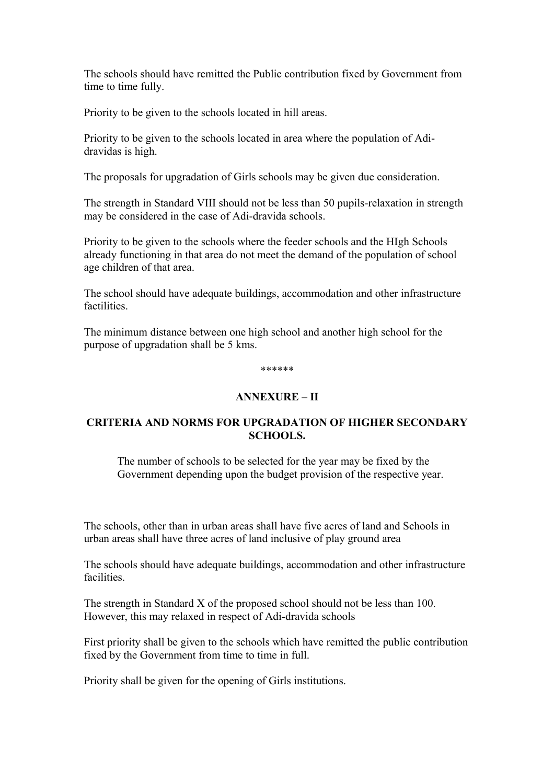The schools should have remitted the Public contribution fixed by Government from time to time fully.

Priority to be given to the schools located in hill areas.

Priority to be given to the schools located in area where the population of Adidravidas is high.

The proposals for upgradation of Girls schools may be given due consideration.

The strength in Standard VIII should not be less than 50 pupils-relaxation in strength may be considered in the case of Adi-dravida schools.

Priority to be given to the schools where the feeder schools and the HIgh Schools already functioning in that area do not meet the demand of the population of school age children of that area.

The school should have adequate buildings, accommodation and other infrastructure factilities.

The minimum distance between one high school and another high school for the purpose of upgradation shall be 5 kms.

#### \*\*\*\*\*\*

#### **ANNEXURE – II**

## **CRITERIA AND NORMS FOR UPGRADATION OF HIGHER SECONDARY SCHOOLS.**

The number of schools to be selected for the year may be fixed by the Government depending upon the budget provision of the respective year.

The schools, other than in urban areas shall have five acres of land and Schools in urban areas shall have three acres of land inclusive of play ground area

The schools should have adequate buildings, accommodation and other infrastructure facilities.

The strength in Standard X of the proposed school should not be less than 100. However, this may relaxed in respect of Adi-dravida schools

First priority shall be given to the schools which have remitted the public contribution fixed by the Government from time to time in full.

Priority shall be given for the opening of Girls institutions.